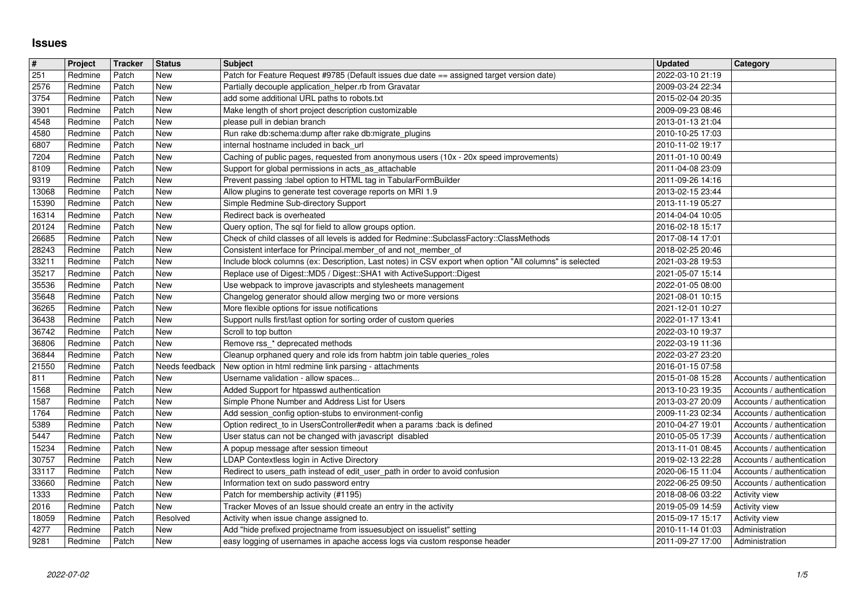## **Issues**

| $\overline{\#}$ | Project            | Tracker        | <b>Status</b>         | <b>Subject</b>                                                                                                                                             | <b>Updated</b>                                       | <b>Category</b>                                        |
|-----------------|--------------------|----------------|-----------------------|------------------------------------------------------------------------------------------------------------------------------------------------------------|------------------------------------------------------|--------------------------------------------------------|
| 251<br>2576     | Redmine<br>Redmine | Patch<br>Patch | New<br>New            | Patch for Feature Request #9785 (Default issues due date == assigned target version date)<br>Partially decouple application_helper.rb from Gravatar        | 2022-03-10 21:19<br>2009-03-24 22:34                 |                                                        |
| 3754            | Redmine            | Patch          | New                   | add some additional URL paths to robots.txt                                                                                                                | 2015-02-04 20:35                                     |                                                        |
| 3901            | Redmine            | Patch          | New                   | Make length of short project description customizable                                                                                                      | 2009-09-23 08:46                                     |                                                        |
| 4548<br>4580    | Redmine<br>Redmine | Patch<br>Patch | New<br>New            | please pull in debian branch<br>Run rake db:schema:dump after rake db:migrate_plugins                                                                      | 2013-01-13 21:04<br>2010-10-25 17:03                 |                                                        |
| 6807            | Redmine            | Patch          | New                   | internal hostname included in back_url                                                                                                                     | 2010-11-02 19:17                                     |                                                        |
| 7204<br>8109    | Redmine<br>Redmine | Patch<br>Patch | New<br>New            | Caching of public pages, requested from anonymous users (10x - 20x speed improvements)<br>Support for global permissions in acts_as_attachable             | 2011-01-10 00:49<br>2011-04-08 23:09                 |                                                        |
| 9319            | Redmine            | Patch          | New                   | Prevent passing :label option to HTML tag in TabularFormBuilder                                                                                            | 2011-09-26 14:16                                     |                                                        |
| 13068           | Redmine            | Patch          | New                   | Allow plugins to generate test coverage reports on MRI 1.9                                                                                                 | 2013-02-15 23:44                                     |                                                        |
| 15390<br>16314  | Redmine<br>Redmine | Patch<br>Patch | New<br>New            | Simple Redmine Sub-directory Support<br>Redirect back is overheated                                                                                        | 2013-11-19 05:27<br>2014-04-04 10:05                 |                                                        |
| 20124           | Redmine            | Patch          | New                   | Query option, The sql for field to allow groups option.                                                                                                    | 2016-02-18 15:17                                     |                                                        |
| 26685<br>28243  | Redmine<br>Redmine | Patch<br>Patch | New<br>New            | Check of child classes of all levels is added for Redmine::SubclassFactory::ClassMethods<br>Consistent interface for Principal.member_of and not_member_of | 2017-08-14 17:01<br>2018-02-25 20:46                 |                                                        |
| 33211           | Redmine            | Patch          | New                   | Include block columns (ex: Description, Last notes) in CSV export when option "All columns" is selected                                                    | 2021-03-28 19:53                                     |                                                        |
| 35217<br>35536  | Redmine<br>Redmine | Patch<br>Patch | New<br>New            | Replace use of Digest::MD5 / Digest::SHA1 with ActiveSupport::Digest                                                                                       | 2021-05-07 15:14<br>2022-01-05 08:00                 |                                                        |
| 35648           | Redmine            | Patch          | New                   | Use webpack to improve javascripts and stylesheets management<br>Changelog generator should allow merging two or more versions                             | 2021-08-01 10:15                                     |                                                        |
| 36265           | Redmine            | Patch          | New                   | More flexible options for issue notifications                                                                                                              | 2021-12-01 10:27                                     |                                                        |
| 36438<br>36742  | Redmine<br>Redmine | Patch<br>Patch | New<br>New            | Support nulls first/last option for sorting order of custom queries<br>Scroll to top button                                                                | 2022-01-17 13:41<br>2022-03-10 19:37                 |                                                        |
| 36806           | Redmine            | Patch          | New                   | Remove rss_* deprecated methods                                                                                                                            | 2022-03-19 11:36                                     |                                                        |
| 36844<br>21550  | Redmine<br>Redmine | Patch<br>Patch | New<br>Needs feedback | Cleanup orphaned query and role ids from habtm join table queries_roles<br>New option in html redmine link parsing - attachments                           | 2022-03-27 23:20<br>2016-01-15 07:58                 |                                                        |
| 811             | Redmine            | Patch          | New                   | Username validation - allow spaces                                                                                                                         | 2015-01-08 15:28                                     | Accounts / authentication                              |
| 1568<br>1587    | Redmine<br>Redmine | Patch<br>Patch | New<br>New            | Added Support for htpasswd authentication<br>Simple Phone Number and Address List for Users                                                                | 2013-10-23 19:35                                     | Accounts / authentication                              |
| 1764            | Redmine            | Patch          | New                   | Add session_config option-stubs to environment-config                                                                                                      | 2013-03-27 20:09<br>2009-11-23 02:34                 | Accounts / authentication<br>Accounts / authentication |
| 5389            | Redmine            | Patch          | New                   | Option redirect_to in UsersController#edit when a params :back is defined                                                                                  | 2010-04-27 19:01                                     | Accounts / authentication                              |
| 5447<br>15234   | Redmine<br>Redmine | Patch<br>Patch | New<br>New            | User status can not be changed with javascript disabled<br>A popup message after session timeout                                                           | 2010-05-05 17:39<br>2013-11-01 08:45                 | Accounts / authentication<br>Accounts / authentication |
| 30757           | Redmine            | Patch          | New                   | LDAP Contextless login in Active Directory                                                                                                                 | 2019-02-13 22:28                                     | Accounts / authentication                              |
| 33117<br>33660  | Redmine<br>Redmine | Patch<br>Patch | New<br>New            | Redirect to users_path instead of edit_user_path in order to avoid confusion<br>Information text on sudo password entry                                    | 2020-06-15 11:04<br>2022-06-25 09:50                 | Accounts / authentication<br>Accounts / authentication |
| 1333            | Redmine            | Patch          | New                   | Patch for membership activity (#1195)                                                                                                                      | 2018-08-06 03:22                                     | <b>Activity view</b>                                   |
| 2016<br>18059   | Redmine<br>Redmine | Patch<br>Patch | New<br>Resolved       | Tracker Moves of an Issue should create an entry in the activity                                                                                           | 2019-05-09 14:59<br>2015-09-17 15:17   Activity view | Activity view                                          |
| 4277            | Redmine            | Patch          | New                   | Activity when issue change assigned to.<br>Add "hide prefixed projectname from issuesubject on issuelist" setting                                          | 2010-11-14 01:03                                     | Administration                                         |
| 9281            | Redmine            | Patch          | New                   | easy logging of usernames in apache access logs via custom response header                                                                                 | 2011-09-27 17:00                                     | Administration                                         |
|                 |                    |                |                       |                                                                                                                                                            |                                                      |                                                        |
|                 |                    |                |                       |                                                                                                                                                            |                                                      |                                                        |
|                 |                    |                |                       |                                                                                                                                                            |                                                      |                                                        |
|                 |                    |                |                       |                                                                                                                                                            |                                                      |                                                        |
|                 |                    |                |                       |                                                                                                                                                            |                                                      |                                                        |
|                 |                    |                |                       |                                                                                                                                                            |                                                      |                                                        |
|                 |                    |                |                       |                                                                                                                                                            |                                                      |                                                        |
|                 |                    |                |                       |                                                                                                                                                            |                                                      |                                                        |
|                 |                    |                |                       |                                                                                                                                                            |                                                      |                                                        |
|                 |                    |                |                       |                                                                                                                                                            |                                                      |                                                        |
|                 |                    |                |                       |                                                                                                                                                            |                                                      |                                                        |
|                 |                    |                |                       |                                                                                                                                                            |                                                      |                                                        |
|                 |                    |                |                       |                                                                                                                                                            |                                                      |                                                        |
|                 |                    |                |                       |                                                                                                                                                            |                                                      |                                                        |
|                 |                    |                |                       |                                                                                                                                                            |                                                      |                                                        |
|                 |                    |                |                       |                                                                                                                                                            |                                                      |                                                        |
|                 |                    |                |                       |                                                                                                                                                            |                                                      |                                                        |
|                 |                    |                |                       |                                                                                                                                                            |                                                      |                                                        |
|                 |                    |                |                       |                                                                                                                                                            |                                                      |                                                        |
|                 |                    |                |                       |                                                                                                                                                            |                                                      |                                                        |
|                 |                    |                |                       |                                                                                                                                                            |                                                      |                                                        |
|                 |                    |                |                       |                                                                                                                                                            |                                                      |                                                        |
|                 |                    |                |                       |                                                                                                                                                            |                                                      |                                                        |
|                 |                    |                |                       |                                                                                                                                                            |                                                      |                                                        |
|                 |                    |                |                       |                                                                                                                                                            |                                                      |                                                        |
|                 |                    |                |                       |                                                                                                                                                            |                                                      |                                                        |
|                 |                    |                |                       |                                                                                                                                                            |                                                      |                                                        |
|                 |                    |                |                       |                                                                                                                                                            |                                                      |                                                        |
|                 |                    |                |                       |                                                                                                                                                            |                                                      |                                                        |
|                 |                    |                |                       |                                                                                                                                                            |                                                      |                                                        |
|                 |                    |                |                       |                                                                                                                                                            |                                                      |                                                        |
|                 |                    |                |                       |                                                                                                                                                            |                                                      |                                                        |
|                 |                    |                |                       |                                                                                                                                                            |                                                      |                                                        |
|                 |                    |                |                       |                                                                                                                                                            |                                                      |                                                        |
|                 |                    |                |                       |                                                                                                                                                            |                                                      |                                                        |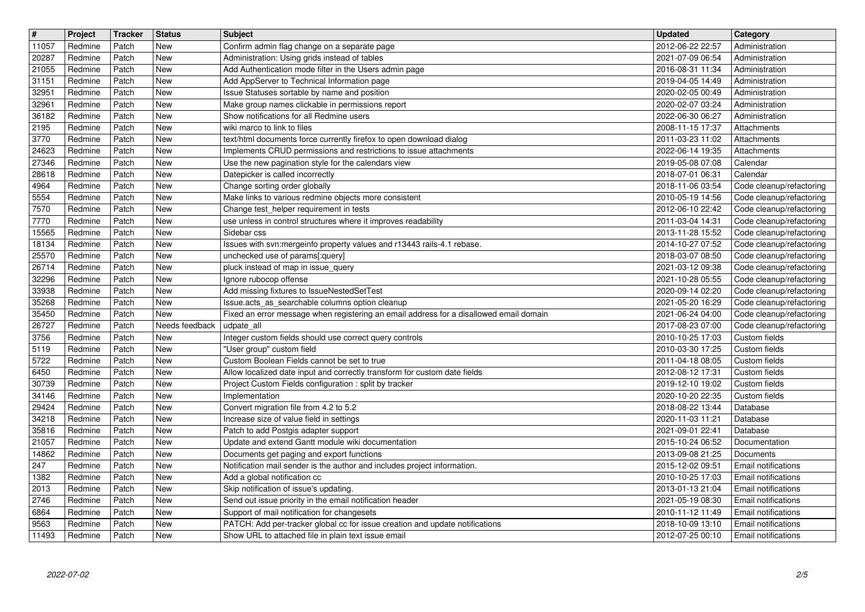| $\overline{\mathbf{H}}$ | Project            | Tracker        | <b>Status</b>     | <b>Subject</b>                                                                                                              | <b>Updated</b>                         | <b>Category</b>                                      |
|-------------------------|--------------------|----------------|-------------------|-----------------------------------------------------------------------------------------------------------------------------|----------------------------------------|------------------------------------------------------|
| 11057                   | Redmine            | Patch          | New               | Confirm admin flag change on a separate page                                                                                | 2012-06-22 22:57                       | Administration                                       |
| 20287<br>21055          | Redmine<br>Redmine | Patch<br>Patch | New<br>New        | Administration: Using grids instead of tables<br>Add Authentication mode filter in the Users admin page                     | 2021-07-09 06:54<br>2016-08-31 11:34   | Administration<br>Administration                     |
| 31151                   | Redmine            | Patch          | <b>New</b>        | Add AppServer to Technical Information page                                                                                 | 2019-04-05 14:49                       | Administration                                       |
| 32951                   | Redmine            | Patch          | New               | Issue Statuses sortable by name and position                                                                                | 2020-02-05 00:49                       | Administration                                       |
| 32961                   | Redmine            | Patch          | New               | Make group names clickable in permissions report                                                                            | 2020-02-07 03:24                       | Administration                                       |
| 36182<br>2195           | Redmine<br>Redmine | Patch<br>Patch | New<br>New        | Show notifications for all Redmine users<br>wiki marco to link to files                                                     | 2022-06-30 06:27<br>2008-11-15 17:37   | Administration<br>Attachments                        |
| 3770                    | Redmine            | Patch          | New               | text/html documents force currently firefox to open download dialog                                                         | 2011-03-23 11:02                       | Attachments                                          |
| 24623                   | Redmine            | Patch          | New               | Implements CRUD permissions and restrictions to issue attachments                                                           | 2022-06-14 19:35                       | Attachments                                          |
| 27346                   | Redmine            | Patch          | New               | Use the new pagination style for the calendars view                                                                         | 2019-05-08 07:08                       | Calendar                                             |
| 28618<br>4964           | Redmine<br>Redmine | Patch<br>Patch | New<br><b>New</b> | Datepicker is called incorrectly<br>Change sorting order globally                                                           | 2018-07-01 06:31<br>2018-11-06 03:54   | Calendar<br>Code cleanup/refactoring                 |
| 5554                    | Redmine            | Patch          | <b>New</b>        | Make links to various redmine objects more consistent                                                                       | 2010-05-19 14:56                       | Code cleanup/refactoring                             |
| 7570                    | Redmine            | Patch          | New               | Change test_helper requirement in tests                                                                                     | 2012-06-10 22:42                       | Code cleanup/refactoring                             |
| 7770                    | Redmine            | Patch          | New<br>New        | use unless in control structures where it improves readability<br>Sidebar css                                               | 2011-03-04 14:31                       | Code cleanup/refactoring                             |
| 15565<br>18134          | Redmine<br>Redmine | Patch<br>Patch | New               | Issues with svn:mergeinfo property values and r13443 rails-4.1 rebase.                                                      | 2013-11-28 15:52<br>2014-10-27 07:52   | Code cleanup/refactoring<br>Code cleanup/refactoring |
| 25570                   | Redmine            | Patch          | New               | unchecked use of params[:query]                                                                                             | 2018-03-07 08:50                       | Code cleanup/refactoring                             |
| 26714                   | Redmine            | Patch          | New               | pluck instead of map in issue_query                                                                                         | 2021-03-12 09:38                       | Code cleanup/refactoring                             |
| 32296                   | Redmine            | Patch<br>Patch | New<br><b>New</b> | Ignore rubocop offense<br>Add missing fixtures to IssueNestedSetTest                                                        | 2021-10-28 05:55<br>2020-09-14 02:20   | Code cleanup/refactoring                             |
| 33938<br>35268          | Redmine<br>Redmine | Patch          | New               | Issue.acts_as_searchable columns option cleanup                                                                             | 2021-05-20 16:29                       | Code cleanup/refactoring<br>Code cleanup/refactoring |
| 35450                   | Redmine            | Patch          | New               | Fixed an error message when registering an email address for a disallowed email domain                                      | 2021-06-24 04:00                       | Code cleanup/refactoring                             |
| 26727                   | Redmine            | Patch          | Needs feedback    | udpate all                                                                                                                  | 2017-08-23 07:00                       | Code cleanup/refactoring                             |
| 3756<br>5119            | Redmine<br>Redmine | Patch<br>Patch | New<br>New        | Integer custom fields should use correct query controls<br>"User group" custom field                                        | 2010-10-25 17:03<br>2010-03-30 17:25   | Custom fields<br>Custom fields                       |
| 5722                    | Redmine            | Patch          | New               | Custom Boolean Fields cannot be set to true                                                                                 | 2011-04-18 08:05                       | Custom fields                                        |
| 6450                    | Redmine            | Patch          | New               | Allow localized date input and correctly transform for custom date fields                                                   | 2012-08-12 17:31                       | Custom fields                                        |
| 30739                   | Redmine            | Patch          | New               | Project Custom Fields configuration : split by tracker                                                                      | 2019-12-10 19:02                       | Custom fields                                        |
| 34146<br>29424          | Redmine<br>Redmine | Patch<br>Patch | <b>New</b><br>New | Implementation<br>Convert migration file from 4.2 to 5.2                                                                    | 2020-10-20 22:35<br>2018-08-22 13:44   | Custom fields<br>Database                            |
| 34218                   | Redmine            | Patch          | New               | Increase size of value field in settings                                                                                    | 2020-11-03 11:21                       | Database                                             |
| 35816                   | Redmine            | Patch          | New               | Patch to add Postgis adapter support                                                                                        | 2021-09-01 22:41                       | Database                                             |
| 21057                   | Redmine            | Patch          | New               | Update and extend Gantt module wiki documentation                                                                           | 2015-10-24 06:52                       | Documentation                                        |
| 14862<br>247            | Redmine<br>Redmine | Patch<br>Patch | New<br>New        | Documents get paging and export functions<br>Notification mail sender is the author and includes project information.       | 2013-09-08 21:25<br>2015-12-02 09:51   | Documents<br>Email notifications                     |
| 1382                    | Redmine            | Patch          | New               | Add a global notification cc                                                                                                | 2010-10-25 17:03                       | Email notifications                                  |
| $\boxed{2013}$          | Redmine            | Patch          | New               | Skip notification of issue's updating.                                                                                      | 2013-01-13 21:04   Email notifications |                                                      |
| 2746                    | Redmine            | Patch          | New               | Send out issue priority in the email notification header                                                                    | 2021-05-19 08:30                       | Email notifications                                  |
| 6864<br>9563            | Redmine<br>Redmine | Patch<br>Patch | New<br>New        | Support of mail notification for changesets<br>PATCH: Add per-tracker global cc for issue creation and update notifications | 2010-11-12 11:49<br>2018-10-09 13:10   | Email notifications<br>Email notifications           |
| 11493                   | Redmine            | Patch          | New               | Show URL to attached file in plain text issue email                                                                         | 2012-07-25 00:10                       | Email notifications                                  |
|                         |                    |                |                   |                                                                                                                             |                                        |                                                      |
|                         |                    |                |                   |                                                                                                                             |                                        |                                                      |
|                         |                    |                |                   |                                                                                                                             |                                        |                                                      |
|                         |                    |                |                   |                                                                                                                             |                                        |                                                      |
|                         |                    |                |                   |                                                                                                                             |                                        |                                                      |
|                         |                    |                |                   |                                                                                                                             |                                        |                                                      |
|                         |                    |                |                   |                                                                                                                             |                                        |                                                      |
|                         |                    |                |                   |                                                                                                                             |                                        |                                                      |
|                         |                    |                |                   |                                                                                                                             |                                        |                                                      |
|                         |                    |                |                   |                                                                                                                             |                                        |                                                      |
|                         |                    |                |                   |                                                                                                                             |                                        |                                                      |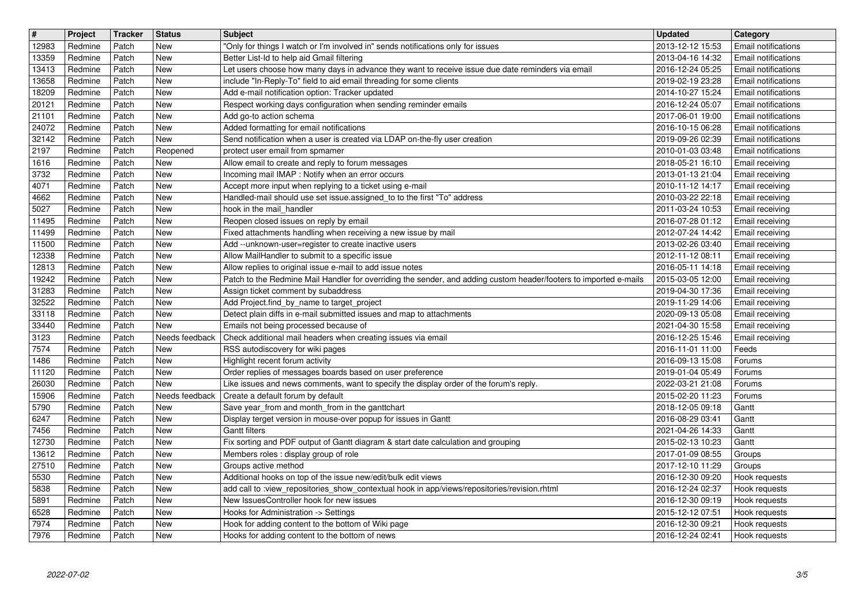| $\overline{\boldsymbol{H}}$<br>12983 | Project<br>Redmine | Tracker<br>Patch | <b>Status</b><br>New         | <b>Subject</b><br>"Only for things I watch or I'm involved in" sends notifications only for issues                                                                       | <b>Updated</b><br>2013-12-12 15:53   | <b>Category</b><br>Email notifications            |
|--------------------------------------|--------------------|------------------|------------------------------|--------------------------------------------------------------------------------------------------------------------------------------------------------------------------|--------------------------------------|---------------------------------------------------|
| 13359                                | Redmine            | Patch            | <b>New</b>                   | Better List-Id to help aid Gmail filtering                                                                                                                               | 2013-04-16 14:32                     | Email notifications                               |
| 13413<br>13658                       | Redmine<br>Redmine | Patch<br>Patch   | New<br><b>New</b>            | Let users choose how many days in advance they want to receive issue due date reminders via email<br>include "In-Reply-To" field to aid email threading for some clients | 2016-12-24 05:25<br>2019-02-19 23:28 | Email notifications<br>Email notifications        |
| 18209                                | Redmine            | Patch            | New                          | Add e-mail notification option: Tracker updated                                                                                                                          | 2014-10-27 15:24                     | Email notifications                               |
| 20121<br>21101                       | Redmine<br>Redmine | Patch<br>Patch   | New<br>New                   | Respect working days configuration when sending reminder emails<br>Add go-to action schema                                                                               | 2016-12-24 05:07<br>2017-06-01 19:00 | <b>Email notifications</b><br>Email notifications |
| 24072                                | Redmine            | Patch            | New                          | Added formatting for email notifications                                                                                                                                 | 2016-10-15 06:28                     | Email notifications                               |
| 32142<br>2197                        | Redmine<br>Redmine | Patch<br>Patch   | New<br>Reopened              | Send notification when a user is created via LDAP on-the-fly user creation<br>protect user email from spmamer                                                            | 2019-09-26 02:39<br>2010-01-03 03:48 | Email notifications<br>Email notifications        |
| 1616                                 | Redmine            | Patch            | <b>New</b>                   | Allow email to create and reply to forum messages                                                                                                                        | 2018-05-21 16:10                     | Email receiving                                   |
| 3732<br>4071                         | Redmine<br>Redmine | Patch<br>Patch   | New<br><b>New</b>            | Incoming mail IMAP : Notify when an error occurs<br>Accept more input when replying to a ticket using e-mail                                                             | 2013-01-13 21:04<br>2010-11-12 14:17 | Email receiving<br>Email receiving                |
| 4662                                 | Redmine            | Patch            | <b>New</b>                   | Handled-mail should use set issue assigned_to to the first "To" address                                                                                                  | 2010-03-22 22:18                     | Email receiving                                   |
| 5027<br>11495                        | Redmine<br>Redmine | Patch<br>Patch   | <b>New</b><br>New            | hook in the mail_handler<br>Reopen closed issues on reply by email                                                                                                       | 2011-03-24 10:53<br>2016-07-28 01:12 | Email receiving<br>Email receiving                |
| 11499                                | Redmine            | Patch            | New                          | Fixed attachments handling when receiving a new issue by mail                                                                                                            | 2012-07-24 14:42                     | Email receiving                                   |
| 11500<br>12338                       | Redmine<br>Redmine | Patch<br>Patch   | New<br>New                   | Add --unknown-user=register to create inactive users<br>Allow MailHandler to submit to a specific issue                                                                  | 2013-02-26 03:40<br>2012-11-12 08:11 | Email receiving                                   |
| 12813                                | Redmine            | Patch            | New                          | Allow replies to original issue e-mail to add issue notes                                                                                                                | 2016-05-11 14:18                     | Email receiving<br>Email receiving                |
| 19242<br>31283                       | Redmine<br>Redmine | Patch<br>Patch   | New<br>New                   | Patch to the Redmine Mail Handler for overriding the sender, and adding custom header/footers to imported e-mails<br>Assign ticket comment by subaddress                 | 2015-03-05 12:00<br>2019-04-30 17:36 | Email receiving<br>Email receiving                |
| 32522                                | Redmine            | Patch            | New                          | Add Project.find_by_name to target_project                                                                                                                               | 2019-11-29 14:06                     | Email receiving                                   |
| 33118<br>33440                       | Redmine<br>Redmine | Patch<br>Patch   | <b>New</b><br>New            | Detect plain diffs in e-mail submitted issues and map to attachments<br>Emails not being processed because of                                                            | 2020-09-13 05:08<br>2021-04-30 15:58 | Email receiving<br>Email receiving                |
| 3123                                 | Redmine            | Patch            | Needs feedback               | Check additional mail headers when creating issues via email                                                                                                             | 2016-12-25 15:46                     | Email receiving                                   |
| 7574<br>1486                         | Redmine<br>Redmine | Patch<br>Patch   | New<br>New                   | RSS autodiscovery for wiki pages<br>Highlight recent forum activity                                                                                                      | 2016-11-01 11:00                     | Feeds                                             |
| 11120                                | Redmine            | Patch            | New                          | Order replies of messages boards based on user preference                                                                                                                | 2016-09-13 15:08<br>2019-01-04 05:49 | Forums<br>Forums                                  |
| 26030                                | Redmine            | Patch            | New                          | Like issues and news comments, want to specify the display order of the forum's reply.                                                                                   | 2022-03-21 21:08                     | Forums                                            |
| 15906<br>5790                        | Redmine<br>Redmine | Patch<br>Patch   | Needs feedback<br><b>New</b> | Create a default forum by default<br>Save year_from and month_from in the ganttchart                                                                                     | 2015-02-20 11:23<br>2018-12-05 09:18 | Forums<br>Gantt                                   |
| 6247                                 | Redmine            | Patch            | New                          | Display terget version in mouse-over popup for issues in Gantt                                                                                                           | 2016-08-29 03:41                     | Gantt                                             |
| 7456<br>12730                        | Redmine<br>Redmine | Patch<br>Patch   | <b>New</b><br>New            | <b>Gantt filters</b><br>Fix sorting and PDF output of Gantt diagram & start date calculation and grouping                                                                | 2021-04-26 14:33<br>2015-02-13 10:23 | Gantt<br>Gantt                                    |
| 13612                                | Redmine            | Patch            | New                          | Members roles : display group of role                                                                                                                                    | 2017-01-09 08:55                     | Groups                                            |
| 27510<br>5530                        | Redmine<br>Redmine | Patch<br>Patch   | New<br>New                   | Groups active method<br>Additional hooks on top of the issue new/edit/bulk edit views                                                                                    | 2017-12-10 11:29<br>2016-12-30 09:20 | Groups<br>Hook requests                           |
| 5838                                 | Redmine            | Patch            | New                          | add call to :view_repositories_show_contextual hook in app/views/repositories/revision.rhtml                                                                             | 2016-12-24 02:37                     | Hook requests                                     |
| 5891<br>6528                         | Redmine<br>Redmine | Patch<br>Patch   | <b>New</b><br>New            | New IssuesController hook for new issues<br>Hooks for Administration -> Settings                                                                                         | 2016-12-30 09:19<br>2015-12-12 07:51 | Hook requests<br>Hook requests                    |
| 7974<br>7976                         | Redmine<br>Redmine | Patch<br>Patch   | New<br>New                   | Hook for adding content to the bottom of Wiki page<br>Hooks for adding content to the bottom of news                                                                     | 2016-12-30 09:21<br>2016-12-24 02:41 | Hook requests<br>Hook requests                    |
|                                      |                    |                  |                              |                                                                                                                                                                          |                                      |                                                   |
|                                      |                    |                  |                              |                                                                                                                                                                          |                                      |                                                   |
|                                      |                    |                  |                              |                                                                                                                                                                          |                                      |                                                   |
|                                      |                    |                  |                              |                                                                                                                                                                          |                                      |                                                   |
|                                      |                    |                  |                              |                                                                                                                                                                          |                                      |                                                   |
|                                      |                    |                  |                              |                                                                                                                                                                          |                                      |                                                   |
|                                      |                    |                  |                              |                                                                                                                                                                          |                                      |                                                   |
|                                      |                    |                  |                              |                                                                                                                                                                          |                                      |                                                   |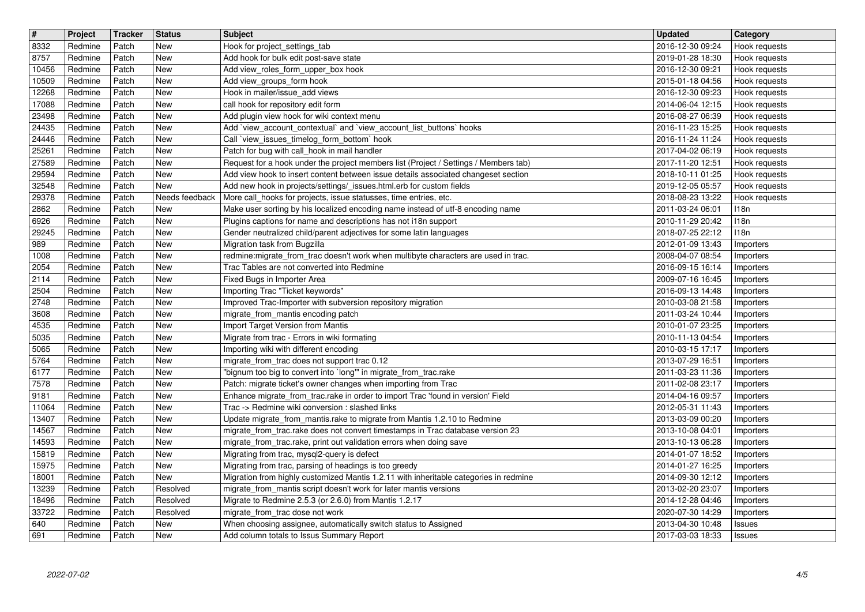| $\overline{\mathbf{t}}$ | Project            | Tracker        | <b>Status</b>   | <b>Subject</b>                                                                                                                                             | <b>Updated</b>                       | <b>Category</b>                |
|-------------------------|--------------------|----------------|-----------------|------------------------------------------------------------------------------------------------------------------------------------------------------------|--------------------------------------|--------------------------------|
| 8332<br>8757            | Redmine<br>Redmine | Patch<br>Patch | New<br>New      | Hook for project_settings_tab<br>Add hook for bulk edit post-save state                                                                                    | 2016-12-30 09:24<br>2019-01-28 18:30 | Hook requests<br>Hook requests |
| 10456                   | Redmine            | Patch          | New             | Add view_roles_form_upper_box hook                                                                                                                         | 2016-12-30 09:21                     | Hook requests                  |
| 10509<br>12268          | Redmine<br>Redmine | Patch<br>Patch | New<br>New      | Add view_groups_form hook<br>Hook in mailer/issue_add views                                                                                                | 2015-01-18 04:56<br>2016-12-30 09:23 | Hook requests<br>Hook requests |
| 17088                   | Redmine            | Patch          | New             | call hook for repository edit form                                                                                                                         | 2014-06-04 12:15                     | Hook requests                  |
| 23498                   | Redmine            | Patch          | New             | Add plugin view hook for wiki context menu                                                                                                                 | 2016-08-27 06:39                     | Hook requests                  |
| 24435<br>24446          | Redmine<br>Redmine | Patch<br>Patch | New<br>New      | Add `view_account_contextual` and `view_account_list_buttons` hooks<br>Call `view_issues_timelog_form_bottom` hook                                         | 2016-11-23 15:25<br>2016-11-24 11:24 | Hook requests<br>Hook requests |
| 25261                   | Redmine            | Patch          | New             | Patch for bug with call_hook in mail handler                                                                                                               | 2017-04-02 06:19                     | Hook requests                  |
| 27589                   | Redmine            | Patch          | New             | Request for a hook under the project members list (Project / Settings / Members tab)                                                                       | 2017-11-20 12:51                     | Hook requests                  |
| 29594<br>32548          | Redmine<br>Redmine | Patch<br>Patch | New<br>New      | Add view hook to insert content between issue details associated changeset section<br>Add new hook in projects/settings/_issues.html.erb for custom fields | 2018-10-11 01:25<br>2019-12-05 05:57 | Hook requests<br>Hook requests |
| 29378                   | Redmine            | Patch          | Needs feedback  | More call_hooks for projects, issue statusses, time entries, etc.                                                                                          | 2018-08-23 13:22                     | Hook requests                  |
| 2862<br>6926            | Redmine<br>Redmine | Patch<br>Patch | New<br>New      | Make user sorting by his localized encoding name instead of utf-8 encoding name<br>Plugins captions for name and descriptions has not i18n support         | 2011-03-24 06:01<br>2010-11-29 20:42 | 118n<br>118n                   |
| 29245                   | Redmine            | Patch          | New             | Gender neutralized child/parent adjectives for some latin languages                                                                                        | 2018-07-25 22:12                     | 118n                           |
| 989                     | Redmine            | Patch          | New             | Migration task from Bugzilla                                                                                                                               | 2012-01-09 13:43                     | <b>Importers</b>               |
| 1008<br>2054            | Redmine<br>Redmine | Patch<br>Patch | New<br>New      | redmine: migrate_from_trac doesn't work when multibyte characters are used in trac.<br>Trac Tables are not converted into Redmine                          | 2008-04-07 08:54<br>2016-09-15 16:14 | Importers<br>Importers         |
| 2114                    | Redmine            | Patch          | New             | Fixed Bugs in Importer Area                                                                                                                                | 2009-07-16 16:45                     | Importers                      |
| 2504<br>2748            | Redmine            | Patch          | New<br>New      | Importing Trac "Ticket keywords"                                                                                                                           | 2016-09-13 14:48                     | Importers                      |
| 3608                    | Redmine<br>Redmine | Patch<br>Patch | New             | Improved Trac-Importer with subversion repository migration<br>migrate_from_mantis encoding patch                                                          | 2010-03-08 21:58<br>2011-03-24 10:44 | Importers<br>Importers         |
| 4535                    | Redmine            | Patch          | New             | Import Target Version from Mantis                                                                                                                          | 2010-01-07 23:25                     | Importers                      |
| 5035<br>5065            | Redmine<br>Redmine | Patch<br>Patch | New<br>New      | Migrate from trac - Errors in wiki formating<br>Importing wiki with different encoding                                                                     | 2010-11-13 04:54<br>2010-03-15 17:17 | Importers<br>Importers         |
| 5764                    | Redmine            | Patch          | New             | migrate_from_trac does not support trac 0.12                                                                                                               | 2013-07-29 16:51                     | Importers                      |
| 6177                    | Redmine            | Patch          | New             | "bignum too big to convert into `long" in migrate_from_trac.rake                                                                                           | 2011-03-23 11:36                     | Importers                      |
| 7578<br>9181            | Redmine<br>Redmine | Patch<br>Patch | New<br>New      | Patch: migrate ticket's owner changes when importing from Trac<br>Enhance migrate_from_trac.rake in order to import Trac 'found in version' Field          | 2011-02-08 23:17<br>2014-04-16 09:57 | Importers<br>Importers         |
| 11064                   | Redmine            | Patch          | New             | Trac -> Redmine wiki conversion : slashed links                                                                                                            | 2012-05-31 11:43                     | Importers                      |
| 13407                   | Redmine            | Patch          | New             | Update migrate_from_mantis.rake to migrate from Mantis 1.2.10 to Redmine                                                                                   | 2013-03-09 00:20                     | Importers                      |
| 14567<br>14593          | Redmine<br>Redmine | Patch<br>Patch | New<br>New      | migrate_from_trac.rake does not convert timestamps in Trac database version 23<br>migrate_from_trac.rake, print out validation errors when doing save      | 2013-10-08 04:01<br>2013-10-13 06:28 | Importers<br><b>Importers</b>  |
| 15819                   | Redmine            | Patch          | New             | Migrating from trac, mysql2-query is defect                                                                                                                | 2014-01-07 18:52                     | Importers                      |
| 15975                   | Redmine<br>Redmine | Patch          | New             | Migrating from trac, parsing of headings is too greedy                                                                                                     | 2014-01-27 16:25                     | Importers                      |
| 18001<br>13239          | Redmine            | Patch<br>Patch | New<br>Resolved | Migration from highly customized Mantis 1.2.11 with inheritable categories in redmine<br>migrate_from_mantis script doesn't work for later mantis versions | 2014-09-30 12:12<br>2013-02-20 23:07 | <b>Importers</b><br>Importers  |
| 18496                   | Redmine            | Patch          | Resolved        | Migrate to Redmine 2.5.3 (or 2.6.0) from Mantis 1.2.17                                                                                                     | 2014-12-28 04:46                     | Importers                      |
| 33722<br>640            | Redmine<br>Redmine | Patch<br>Patch | Resolved<br>New | migrate_from_trac dose not work<br>When choosing assignee, automatically switch status to Assigned                                                         | 2020-07-30 14:29<br>2013-04-30 10:48 | Importers<br>Issues            |
| 691                     | Redmine            | Patch          | New             | Add column totals to Issus Summary Report                                                                                                                  | 2017-03-03 18:33                     | Issues                         |
|                         |                    |                |                 |                                                                                                                                                            |                                      |                                |
|                         |                    |                |                 |                                                                                                                                                            |                                      |                                |
|                         |                    |                |                 |                                                                                                                                                            |                                      |                                |
|                         |                    |                |                 |                                                                                                                                                            |                                      |                                |
|                         |                    |                |                 |                                                                                                                                                            |                                      |                                |
|                         |                    |                |                 |                                                                                                                                                            |                                      |                                |
|                         |                    |                |                 |                                                                                                                                                            |                                      |                                |
|                         |                    |                |                 |                                                                                                                                                            |                                      |                                |
|                         |                    |                |                 |                                                                                                                                                            |                                      |                                |
|                         |                    |                |                 |                                                                                                                                                            |                                      |                                |
|                         |                    |                |                 |                                                                                                                                                            |                                      |                                |